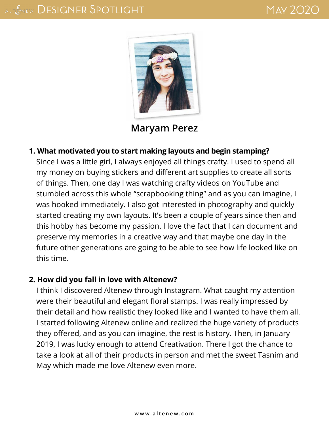

**[Maryam Perez](http://maryamperez.blogspot.com/)**

#### **1. What motivated you to start making layouts and begin stamping?**

Since I was a little girl, I always enjoyed all things crafty. I used to spend all my money on buying stickers and different art supplies to create all sorts of things. Then, one day I was watching crafty videos on YouTube and stumbled across this whole "scrapbooking thing" and as you can imagine, I was hooked immediately. I also got interested in photography and quickly started creating my own layouts. It's been a couple of years since then and this hobby has become my passion. I love the fact that I can document and preserve my memories in a creative way and that maybe one day in the future other generations are going to be able to see how life looked like on this time.

#### **2. How did you fall in love with Altenew?**

I think I discovered Altenew through Instagram. What caught my attention were their beautiful and elegant floral stamps. I was really impressed by their detail and how realistic they looked like and I wanted to have them all. I started following Altenew online and realized the huge variety of products they offered, and as you can imagine, the rest is history. Then, in January 2019, I was lucky enough to attend Creativation. There I got the chance to take a look at all of their products in person and met the sweet Tasnim and May which made me love Altenew even more.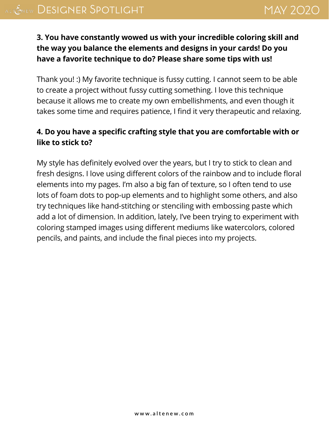## **3. You have constantly wowed us with your incredible coloring skill and the way you balance the elements and designs in your cards! Do you have a favorite technique to do? Please share some tips with us!**

Thank you! :) My favorite technique is fussy cutting. I cannot seem to be able to create a project without fussy cutting something. I love this technique because it allows me to create my own embellishments, and even though it takes some time and requires patience, I find it very therapeutic and relaxing.

## **4. Do you have a specific crafting style that you are comfortable with or like to stick to?**

My style has definitely evolved over the years, but I try to stick to clean and fresh designs. I love using different colors of the rainbow and to include floral elements into my pages. I'm also a big fan of texture, so I often tend to use lots of foam dots to pop-up elements and to highlight some others, and also try techniques like hand-stitching or stenciling with embossing paste which add a lot of dimension. In addition, lately, I've been trying to experiment with coloring stamped images using different mediums like watercolors, colored pencils, and paints, and include the final pieces into my projects.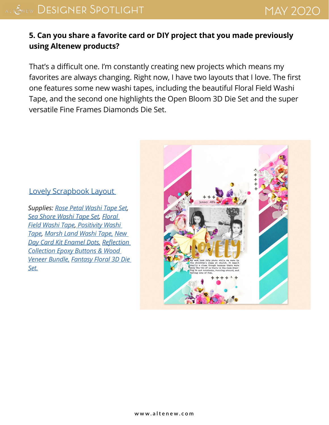## **5. Can you share a favorite card or DIY project that you made previously using Altenew products?**

That's a difficult one. I'm constantly creating new projects which means my favorites are always changing. Right now, I have two layouts that I love. The first one features some new washi tapes, including the beautiful Floral Field Washi Tape, and the second one highlights the Open Bloom 3D Die Set and the super versatile Fine Frames Diamonds Die Set.

#### [Lovely Scrapbook Layout](http://maryamperez.blogspot.com/2020/03/altenew-march-2020-washi-tapes-release.html)

*Supplies: [Rose Petal Washi Tape Set](https://altenew.com/products/rose-petal-washi-tape-set), [Sea Shore Washi Tape Set,](https://altenew.com/products/sea-shore-washi-tape-set) [Floral](https://altenew.com/products/floral-field-washi-tape)  [Field Washi Tape,](https://altenew.com/products/floral-field-washi-tape) [Positivity Washi](https://altenew.com/pages/search-results-page?q=Positivity+Washi+Tape)  [Tape](https://altenew.com/pages/search-results-page?q=Positivity+Washi+Tape), [Marsh Land Washi Tape,](https://altenew.com/products/marsh-land-washi-tape) [New](https://altenew.com/products/new-day-card-kit-enamel-dots)  [Day Card Kit Enamel Dots,](https://altenew.com/products/new-day-card-kit-enamel-dots) [Reflection](https://altenew.com/products/reflection-collection-epoxy-buttons-wood-veneer-bundle)  [Collection Epoxy Buttons & Wood](https://altenew.com/products/reflection-collection-epoxy-buttons-wood-veneer-bundle)  [Veneer Bundle,](https://altenew.com/products/reflection-collection-epoxy-buttons-wood-veneer-bundle) [Fantasy Floral 3D Die](https://altenew.com/products/fantasy-floral-3d-die-set)  [Set.](https://altenew.com/products/fantasy-floral-3d-die-set)*